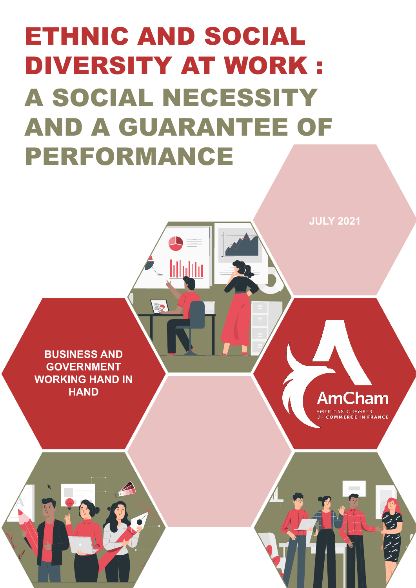# ETHNIC AND SOCIAL DIVERSITY AT WORK : A SOCIAL NECESSITY AND A GUARANTEE OF PERFORMANCE

<u>lilipliin</u>

**BUSINESS AND GOVERNMENT WORKING HAND IN HAND**

**AmCham** 

**JULY 2021**

**ERICAN CHAMBER**<br>COMMERCE IN FRANCE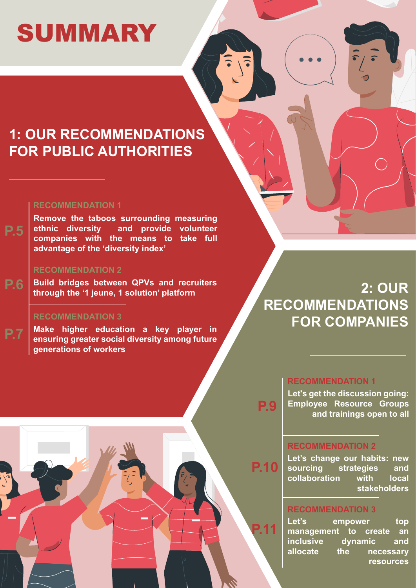# SUMMARY

### **1: OUR RECOMMENDATIONS FOR PUBLIC AUTHORITIES**

### **RECOMMENDATION 1**

**[Remove the taboos surrounding measuring](#page-4-0)  ethnic diversity and provide volunteer companies with the means to take full advantage of the 'diversity index' P.5**

### **RECOMMENDATION 2**

**P.6 [Build bridges between QPVs and recruiters](#page-5-0)  through the '1 jeune, 1 solution' platform**

### **RECOMMENDATION 3**

**P.7 Make higher education a key player in [ensuring greater social diversity among future](#page-6-0)  generations of workers**

### **2: OUR RECOMMENDATIONS FOR COMPANIES**

### **RECOMMENDATION 1**

**[Let's get the discussion going:](#page-8-0)  Employee Resource Groups and trainings open to all P.9**

### **RECOMMENDATION 2**

**P.10**

**P.11**

**[Let's change our habits: new](#page-9-0)  sourcing strategies and collaboration with local stakeholders**

### **RECOMMENDATION 3**

Let's empower top **management to create an inclusive dynamic and allocate the necessary resources**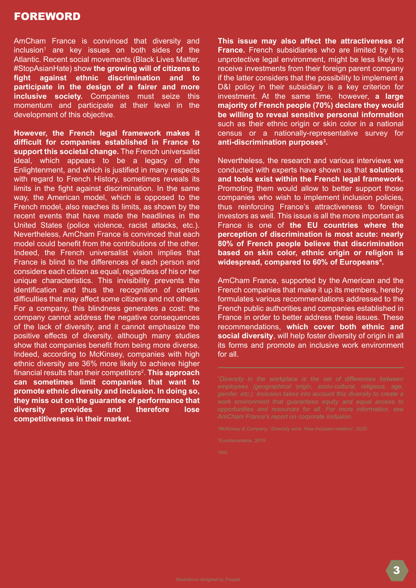AmCham France is convinced that diversity and inclusion1 are key issues on both sides of the Atlantic. Recent social movements (Black Lives Matter, #StopAsianHate) show **the growing will of citizens to fight against ethnic discrimination and to participate in the design of a fairer and more inclusive society.** Companies must seize this momentum and participate at their level in the development of this objective.

**However, the French legal framework makes it difficult for companies established in France to support this societal change.** The French universalist ideal, which appears to be a legacy of the Enlightenment, and which is justified in many respects with regard to French History, sometimes reveals its limits in the fight against discrimination. In the same way, the American model, which is opposed to the French model, also reaches its limits, as shown by the recent events that have made the headlines in the United States (police violence, racist attacks, etc.). Nevertheless, AmCham France is convinced that each model could benefit from the contributions of the other. Indeed, the French universalist vision implies that France is blind to the differences of each person and considers each citizen as equal, regardless of his or her unique characteristics. This invisibility prevents the identification and thus the recognition of certain difficulties that may affect some citizens and not others. For a company, this blindness generates a cost: the company cannot address the negative consequences of the lack of diversity, and it cannot emphasize the positive effects of diversity, although many studies show that companies benefit from being more diverse. Indeed, according to McKinsey, companies with high ethnic diversity are 36% more likely to achieve higher financial results than their competitors<sup>2</sup>. This approach **can sometimes limit companies that want to promote ethnic diversity and inclusion. In doing so, they miss out on the guarantee of performance that diversity provides and therefore lose competitiveness in their market.**

**This issue may also affect the attractiveness of France.** French subsidiaries who are limited by this unprotective legal environment, might be less likely to receive investments from their foreign parent company if the latter considers that the possibility to implement a D&I policy in their subsidiary is a key criterion for investment. At the same time, however, **a large majority of French people (70%) declare they would be willing to reveal sensitive personal information** such as their ethnic origin or skin color in a national census or a nationally-representative survey for **anti-discrimination purposes3 .**

Nevertheless, the research and various interviews we conducted with experts have shown us that **solutions and tools exist within the French legal framework.**  Promoting them would allow to better support those companies who wish to implement inclusion policies, thus reinforcing France's attractiveness to foreign investors as well. This issue is all the more important as France is one of **the EU countries where the perception of discrimination is most acute: nearly 80% of French people believe that discrimination based on skin color, ethnic origin or religion is widespread, compared to 60% of Europeans4 .**

AmCham France, supported by the American and the French companies that make it up its members, hereby formulates various recommendations addressed to the French public authorities and companies established in France in order to better address these issues. These recommendations, **which cover both ethnic and social diversity**, will help foster diversity of origin in all its forms and promote an inclusive work environment for all.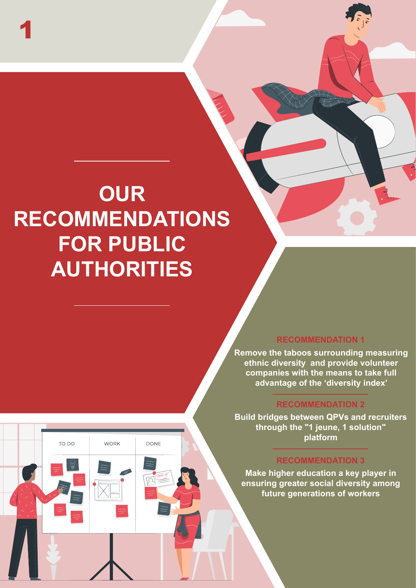## **OUR RECOMMENDATIONS FOR PUBLIC AUTHORITIES**

TO DO

**WORK** 

DONE

1

### **RECOMMENDATION 1**

**Remove the taboos surrounding measuring ethnic diversity and provide volunteer companies with the means to take full advantage of the 'diversity index'**

### **RECOMMENDATION 2**

**Build bridges between QPVs and recruiters through the "1 jeune, 1 solution" platform**

### **RECOMMENDATION 3**

**Make higher education a key player in ensuring greater social diversity among future generations of workers**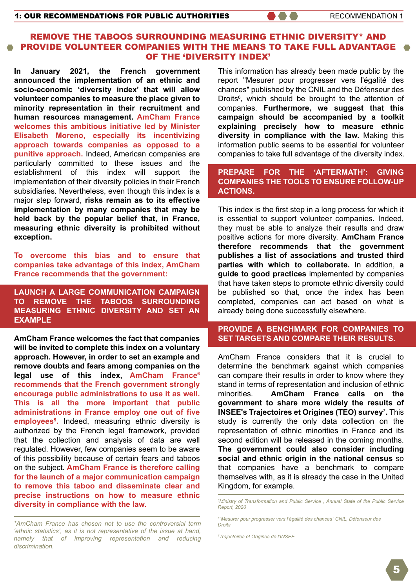### <span id="page-4-0"></span>REMOVE THE TABOOS SURROUNDING MEASURING ETHNIC DIVERSITY\* AND PROVIDE VOLUNTEER COMPANIES WITH THE MEANS TO TAKE FULL ADVANTAGE OF THE 'DIVERSITY INDEX'

**In January 2021, the French government announced the implementation of an ethnic and socio-economic 'diversity index' that will allow volunteer companies to measure the place given to minority representation in their recruitment and human resources management. AmCham France welcomes this ambitious initiative led by Minister Elisabeth Moreno, especially its incentivizing approach towards companies as opposed to a punitive approach.** Indeed, American companies are particularly committed to these issues and the establishment of this index will support the implementation of their diversity policies in their French subsidiaries. Nevertheless, even though this index is a major step forward, **risks remain as to its effective implementation by many companies that may be held back by the popular belief that, in France, measuring ethnic diversity is prohibited without exception.**

**To overcome this bias and to ensure that companies take advantage of this index, AmCham France recommends that the government:**

**LAUNCH A LARGE COMMUNICATION CAMPAIGN TO REMOVE THE TABOOS SURROUNDING MEASURING ETHNIC DIVERSITY AND SET AN EXAMPLE**

**AmCham France welcomes the fact that companies will be invited to complete this index on a voluntary approach. However, in order to set an example and remove doubts and fears among companies on the**  legal use of this index, AmCham France<sup>6</sup> **recommends that the French government strongly encourage public administrations to use it as well. This is all the more important that public administrations in France employ one out of five employees5 .** Indeed, measuring ethnic diversity is authorized by the French legal framework, provided that the collection and analysis of data are well regulated. However, few companies seem to be aware of this possibility because of certain fears and taboos on the subject. **AmCham France is therefore calling for the launch of a major communication campaign to remove this taboo and disseminate clear and precise instructions on how to measure ethnic diversity in compliance with the law.** 

*\*AmCham France has chosen not to use the controversial term 'ethnic statistics', as it is not representative of the issue at hand, namely that of improving representation and reducing discrimination.*

This information has already been made public by the report "Mesurer pour progresser vers l'égalité des chances" published by the CNIL and the Défenseur des Droits<sup>6</sup>, which should be brought to the attention of companies. **Furthermore, we suggest that this campaign should be accompanied by a toolkit explaining precisely how to measure ethnic diversity in compliance with the law.** Making this information public seems to be essential for volunteer companies to take full advantage of the diversity index.

#### **PREPARE FOR THE 'AFTERMATH': GIVING COMPANIES THE TOOLS TO ENSURE FOLLOW-UP ACTIONS.**

This index is the first step in a long process for which it is essential to support volunteer companies. Indeed, they must be able to analyze their results and draw positive actions for more diversity. **AmCham France therefore recommends that the government publishes a list of associations and trusted third parties with which to collaborate.** In addition, **a guide to good practices** implemented by companies that have taken steps to promote ethnic diversity could be published so that, once the index has been completed, companies can act based on what is already being done successfully elsewhere.

### **PROVIDE A BENCHMARK FOR COMPANIES TO SET TARGETS AND COMPARE THEIR RESULTS.**

AmCham France considers that it is crucial to determine the benchmark against which companies can compare their results in order to know where they stand in terms of representation and inclusion of ethnic minorities. **AmCham France calls on the government to share more widely the results of INSEE's Trajectoires et Origines (TEO) survey<sup>7</sup>. This** study is currently the only data collection on the representation of ethnic minorities in France and its second edition will be released in the coming months. **The government could also consider including social and ethnic origin in the national census** so that companies have a benchmark to compare themselves with, as it is already the case in the United Kingdom, for example.

*5 [Ministry of Transformation and Public Service , Annual State of the Public Service](https://www.fonction-publique.gouv.fr/files/files/publications/rapport_annuel/RA2020_web.pdf)  Report, 2020*

*7 [Trajectoires et Origines de l'INSEE](https://www.ined.fr/fichier/s_rubrique/24668/grande.enquetes_teo_fascicule.fr.pdf)*

*<sup>6</sup> ["Mesurer pour progresser vers l'égalité des chances" CNIL, Défenseur des](https://www.cnil.fr/sites/default/files/atoms/files/ddd_gui_20120501_egalite_chances_0.pdf)  Droits*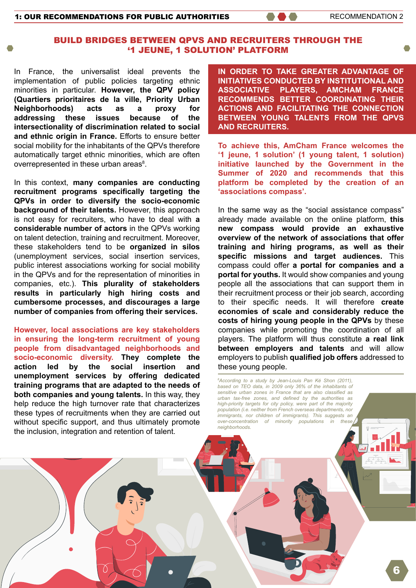### <span id="page-5-0"></span>BUILD BRIDGES BETWEEN QPVS AND RECRUITERS THROUGH THE '1 JEUNE, 1 SOLUTION' PLATFORM

In France, the universalist ideal prevents the implementation of public policies targeting ethnic minorities in particular. **However, the QPV policy (Quartiers prioritaires de la ville, Priority Urban Neighborhoods) acts as a proxy for addressing these issues because of the intersectionality of discrimination related to social and ethnic origin in France.** Efforts to ensure better social mobility for the inhabitants of the QPVs therefore automatically target ethnic minorities, which are often overrepresented in these urban areas<sup>8</sup>.

In this context, **many companies are conducting recruitment programs specifically targeting the QPVs in order to diversify the socio-economic background of their talents.** However, this approach is not easy for recruiters, who have to deal with **a considerable number of actors** in the QPVs working on talent detection, training and recruitment. Moreover, these stakeholders tend to be **organized in silos**  (unemployment services, social insertion services, public interest associations working for social mobility in the QPVs and for the representation of minorities in companies, etc.). **This plurality of stakeholders results in particularly high hiring costs and cumbersome processes, and discourages a large number of companies from offering their services.**

**However, local associations are key stakeholders in ensuring the long-term recruitment of young people from disadvantaged neighborhoods and socio-economic diversity. They complete the action led by the social insertion and unemployment services by offering dedicated training programs that are adapted to the needs of both companies and young talents.** In this way, they help reduce the high turnover rate that characterizes these types of recruitments when they are carried out without specific support, and thus ultimately promote the inclusion, integration and retention of talent.

**IN ORDER TO TAKE GREATER ADVANTAGE OF INITIATIVES CONDUCTED BY INSTITUTIONAL AND ASSOCIATIVE PLAYERS, AMCHAM FRANCE RECOMMENDS BETTER COORDINATING THEIR ACTIONS AND FACILITATING THE CONNECTION BETWEEN YOUNG TALENTS FROM THE QPVS AND RECRUITERS.**

**To achieve this, AmCham France welcomes the '1 jeune, 1 solution' (1 young talent, 1 solution) initiative launched by the Government in the Summer of 2020 and recommends that this platform be completed by the creation of an 'associations compass'.** 

In the same way as the "social assistance compass" already made available on the online platform, **this new compass would provide an exhaustive overview of the network of associations that offer training and hiring programs, as well as their specific missions and target audiences.** This compass could offer **a portal for companies and a portal for youths.** It would show companies and young people all the associations that can support them in their recruitment process or their job search, according to their specific needs. It will therefore **create economies of scale and considerably reduce the costs of hiring young people in the QPVs** by these companies while promoting the coordination of all players. The platform will thus constitute **a real link between employers and talents** and will allow employers to publish **qualified job offers** addressed to these young people.

*8 According to a study by Jean-Louis Pan Ké Shon (2011), based on TEO data, in 2009 only 36% of the inhabitants of sensitive urban zones in France that are also classified as urban tax-free zones, and defined by the authorities as high-priority targets for city policy, were part of the majority population (i.e. neither from French overseas departments, nor immigrants, nor children of immigrants). This suggests an over-concentration of minority populations in neighborhoods.*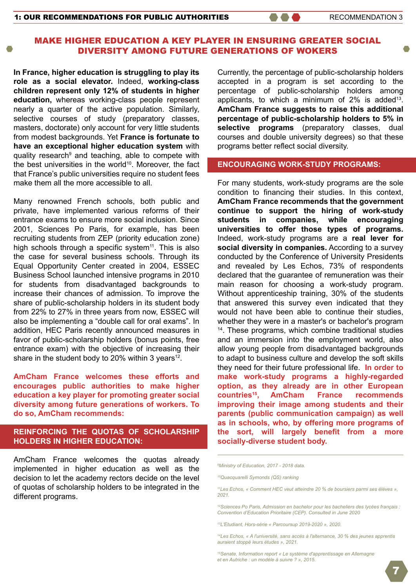### <span id="page-6-0"></span>MAKE HIGHER EDUCATION A KEY PLAYER IN ENSURING GREATER SOCIAL DIVERSITY AMONG FUTURE GENERATIONS OF WOKERS

**In France, higher education is struggling to play its role as a social elevator.** Indeed, **working-class children represent only 12% of students in higher education,** whereas working-class people represent nearly a quarter of the active population. Similarly, selective courses of study (preparatory classes, masters, doctorate) only account for very little students from modest backgrounds. Yet **France is fortunate to have an exceptional higher education system** with quality research<sup>9</sup> and teaching, able to compete with the best universities in the world<sup>10</sup>. Moreover, the fact that France's public universities require no student fees make them all the more accessible to all.

Many renowned French schools, both public and private, have implemented various reforms of their entrance exams to ensure more social inclusion. Since 2001, Sciences Po Paris, for example, has been recruiting students from ZEP (priority education zone) high schools through a specific system<sup>11</sup>. This is also the case for several business schools. Through its Equal Opportunity Center created in 2004, ESSEC Business School launched intensive programs in 2010 for students from disadvantaged backgrounds to increase their chances of admission. To improve the share of public-scholarship holders in its student body from 22% to 27% in three years from now, ESSEC will also be implementing a "double call for oral exams". In addition, HEC Paris recently announced measures in favor of public-scholarship holders (bonus points, free entrance exam) with the objective of increasing their share in the student body to 20% within 3 years<sup>12</sup>.

**AmCham France welcomes these efforts and encourages public authorities to make higher education a key player for promoting greater social diversity among future generations of workers. To do so, AmCham recommends:**

### **REINFORCING THE QUOTAS OF SCHOLARSHIP HOLDERS IN HIGHER EDUCATION:**

AmCham France welcomes the quotas already implemented in higher education as well as the decision to let the academy rectors decide on the level of quotas of scholarship holders to be integrated in the different programs.

Currently, the percentage of public-scholarship holders accepted in a program is set according to the percentage of public-scholarship holders among applicants, to which a minimum of  $2\%$  is added<sup>13</sup>. **AmCham France suggests to raise this additional percentage of public-scholarship holders to 5% in selective programs** (preparatory classes, dual courses and double university degrees) so that these programs better reflect social diversity.

### **ENCOURAGING WORK-STUDY PROGRAMS:**

For many students, work-study programs are the sole condition to financing their studies. In this context, **AmCham France recommends that the government continue to support the hiring of work-study students in companies, while encouraging universities to offer those types of programs.** Indeed, work-study programs are a **real lever for social diversity in companies.** According to a survey conducted by the Conference of University Presidents and revealed by Les Echos, 73% of respondents declared that the guarantee of remuneration was their main reason for choosing a work-study program. Without apprenticeship training, 30% of the students that answered this survey even indicated that they would not have been able to continue their studies, whether they were in a master's or bachelor's program 14. These programs, which combine traditional studies and an immersion into the employment world, also allow young people from disadvantaged backgrounds to adapt to business culture and develop the soft skills they need for their future professional life. **In order to make work-study programs a highly-regarded option, as they already are in other European countries15, AmCham France recommends improving their image among students and their parents (public communication campaign) as well as in schools, who, by offering more programs of the sort, will largely benefit from a more socially-diverse student body.**

*[12Sciences Po Paris, Admission en bachelor pour les bacheliers des lycées français :](https://www.sciencespo.fr/admissions/fr/bachelor/bacheliers-lycees-francais/conventions-education-prioritaire.html)  Convention d'Education Prioritaire (CEP). Consulted in June 2020*

*[13L'Etudiant, Hors-série « Parcoursup 2019-2020 », 2020.](https://fr.calameo.com/read/0048099220c27efc14838)*

*[15Senate, Information report « Le système d'apprentissage en Allemagne](http://V)  et en Autriche : un modèle à suivre ? », 2015.*

*<sup>9</sup> Ministry of Education, 2017 - 2018 data.*

*<sup>10</sup>Quacquarelli Symonds (QS) ranking*

*[<sup>11</sup>Les Echos, « Comment HEC veut atteindre 20 % de boursiers parmi ses élèves »,](https://www.lesechos.fr/politique-societe/societe/exclusif-comment-hec-veut-atteindre-20-de-boursiers-parmi-ses-eleves-1314148)  2021.* 

*[<sup>14</sup>Les Echos, « A l'université, sans accès à l'alternance, 30 % des jeunes apprentis](https://www.lesechos.fr/politique-societe/societe/exclusif-a-luniversite-sans-acces-a-lapprentissage-30-des-jeunes-auraient-stoppe-leurs-etudes-1321495)  auraient stoppé leurs études », 2021.*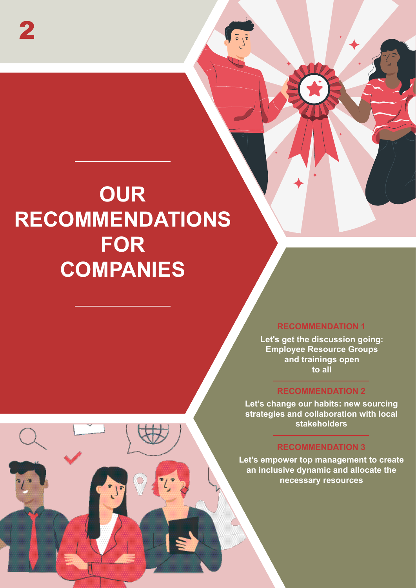### **OUR RECOMMENDATIONS FOR COMPANIES**

### **RECOMMENDATION 1**

**Let's get the discussion going: Employee Resource Groups and trainings open to all**

### **RECOMMENDATION 2**

**Let's change our habits: new sourcing strategies and collaboration with local stakeholders**

### **RECOMMENDATION 3**

**Let's empower top management to create an inclusive dynamic and allocate the necessary resources**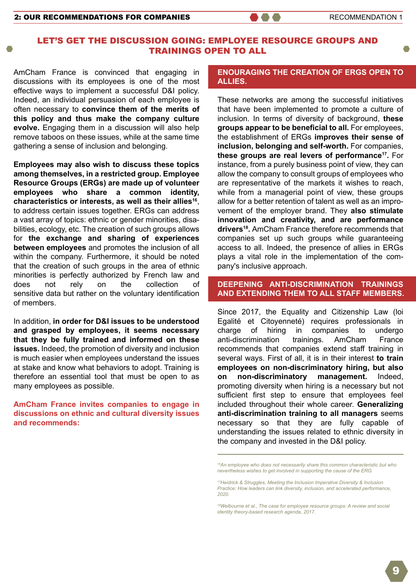### <span id="page-8-0"></span>LET'S GET THE DISCUSSION GOING: EMPLOYEE RESOURCE GROUPS AND TRAININGS OPEN TO ALL

AmCham France is convinced that engaging in discussions with its employees is one of the most effective ways to implement a successful D&I policy. Indeed, an individual persuasion of each employee is often necessary to **convince them of the merits of this policy and thus make the company culture evolve.** Engaging them in a discussion will also help remove taboos on these issues, while at the same time gathering a sense of inclusion and belonging.

**Employees may also wish to discuss these topics among themselves, in a restricted group. Employee Resource Groups (ERGs) are made up of volunteer employees who share a common identity, characteristics or interests, as well as their allies16**, to address certain issues together. ERGs can address a vast array of topics: ethnic or gender minorities, disabilities, ecology, etc. The creation of such groups allows for **the exchange and sharing of experiences between employees** and promotes the inclusion of all within the company. Furthermore, it should be noted that the creation of such groups in the area of ethnic minorities is perfectly authorized by French law and does not rely on the collection of sensitive data but rather on the voluntary identification of members.

In addition, **in order for D&I issues to be understood and grasped by employees, it seems necessary that they be fully trained and informed on these issues.** Indeed, the promotion of diversity and inclusion is much easier when employees understand the issues at stake and know what behaviors to adopt. Training is therefore an essential tool that must be open to as many employees as possible.

**AmCham France invites companies to engage in discussions on ethnic and cultural diversity issues and recommends:**

#### **ENOURAGING THE CREATION OF ERGS OPEN TO ALLIES.**

These networks are among the successful initiatives that have been implemented to promote a culture of inclusion. In terms of diversity of background, **these groups appear to be beneficial to all.** For employees, the establishment of ERGs **improves their sense of inclusion, belonging and self-worth.** For companies, **these groups are real levers of performance17.** For instance, from a purely business point of view, they can allow the company to consult groups of employees who are representative of the markets it wishes to reach, while from a managerial point of view, these groups allow for a better retention of talent as well as an improvement of the employer brand. They **also stimulate innovation and creativity, and are performance drivers18.** AmCham France therefore recommends that companies set up such groups while guaranteeing access to all. Indeed, the presence of allies in ERGs plays a vital role in the implementation of the company's inclusive approach.

### **DEEPENING ANTI-DISCRIMINATION TRAININGS AND EXTENDING THEM TO ALL STAFF MEMBERS.**

Since 2017, the Equality and Citizenship Law (loi Egalité et Citoyenneté) requires professionals in charge of hiring in companies to undergo anti-discrimination trainings. AmCham France recommends that companies extend staff training in several ways. First of all, it is in their interest **to train employees on non-discriminatory hiring, but also on non-discriminatory management.** Indeed, promoting diversity when hiring is a necessary but not sufficient first step to ensure that employees feel included throughout their whole career. **Generalizing anti-discrimination training to all managers** seems necessary so that they are fully capable of understanding the issues related to ethnic diversity in the company and invested in the D&I policy.

*16An employee who does not necessarily share this common characteristic but who nevertheless wishes to get involved in supporting the cause of the ERG.*

*17Heidrick & Struggles, Meeting the Inclusion Imperative Diversity & Inclusion [Practice: How leaders can link diversity, inclusion, and accelerated performance,](https://www.heidrick.com/en/insights/diversity-inclusion/meeting_the_inclusion_imperative)  2020.*

*[18Welbourne et al., The case for employee resource groups: A review and social](https://www.researchgate.net/publication/320368709_The_case_for_employee_resource_groups_A_review_and_social_identity_theory-based_research_agenda)  identity theory-based research agenda, 2017.*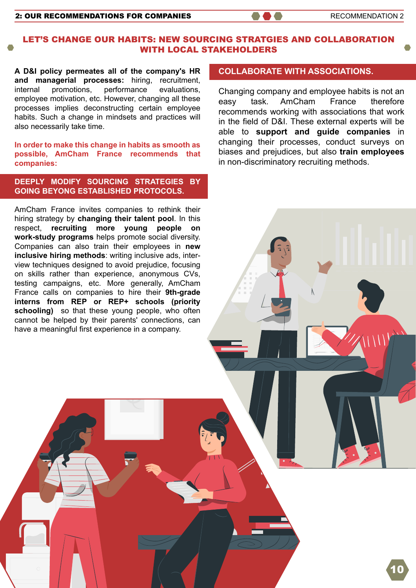#### <span id="page-9-0"></span>2: OUR RECOMMENDATIONS FOR COMPANIES **And the Secomment of the RECOMMENDATION 2**

### LET'S CHANGE OUR HABITS: NEW SOURCING STRATGIES AND COLLABORATION WITH LOCAL STAKEHOLDERS

**A D&I policy permeates all of the company's HR and managerial processes:** hiring, recruitment, internal promotions, performance evaluations, employee motivation, etc. However, changing all these processes implies deconstructing certain employee habits. Such a change in mindsets and practices will also necessarily take time.

**In order to make this change in habits as smooth as possible, AmCham France recommends that companies:**

### **DEEPLY MODIFY SOURCING STRATEGIES BY GOING BEYONG ESTABLISHED PROTOCOLS.**

AmCham France invites companies to rethink their hiring strategy by **changing their talent pool**. In this respect, **recruiting more young people on work-study programs** helps promote social diversity. Companies can also train their employees in **new inclusive hiring methods**: writing inclusive ads, interview techniques designed to avoid prejudice, focusing on skills rather than experience, anonymous CVs, testing campaigns, etc. More generally, AmCham France calls on companies to hire their **9th-grade interns from REP or REP+ schools (priority schooling)** so that these young people, who often cannot be helped by their parents' connections, can have a meaningful first experience in a company.

### **COLLABORATE WITH ASSOCIATIONS.**

Changing company and employee habits is not an easy task. AmCham France therefore recommends working with associations that work in the field of D&I. These external experts will be able to **support and guide companies** in changing their processes, conduct surveys on biases and prejudices, but also **train employees** in non-discriminatory recruiting methods.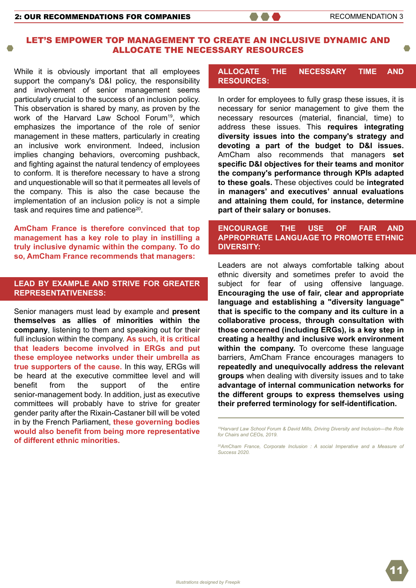### <span id="page-10-0"></span>LET'S EMPOWER TOP MANAGEMENT TO CREATE AN INCLUSIVE DYNAMIC AND ALLOCATE THE NECESSARY RESOURCES

While it is obviously important that all employees support the company's D&I policy, the responsibility and involvement of senior management seems particularly crucial to the success of an inclusion policy. This observation is shared by many, as proven by the work of the Harvard Law School Forum<sup>19</sup>, which emphasizes the importance of the role of senior management in these matters, particularly in creating an inclusive work environment. Indeed, inclusion implies changing behaviors, overcoming pushback, and fighting against the natural tendency of employees to conform. It is therefore necessary to have a strong and unquestionable will so that it permeates all levels of the company. This is also the case because the implementation of an inclusion policy is not a simple task and requires time and patience<sup>20</sup>.

**AmCham France is therefore convinced that top management has a key role to play in instilling a truly inclusive dynamic within the company. To do so, AmCham France recommends that managers:**

### **LEAD BY EXAMPLE AND STRIVE FOR GREATER REPRESENTATIVENESS:**

Senior managers must lead by example and **present themselves as allies of minorities within the company**, listening to them and speaking out for their full inclusion within the company. **As such, it is critical that leaders become involved in ERGs and put these employee networks under their umbrella as true supporters of the cause.** In this way, ERGs will be heard at the executive committee level and will benefit from the support of the entire senior-management body. In addition, just as executive committees will probably have to strive for greater gender parity after the Rixain-Castaner bill will be voted in by the French Parliament, **these governing bodies would also benefit from being more representative of different ethnic minorities.**

### **ALLOCATE THE NECESSARY TIME AND RESOURCES:**

In order for employees to fully grasp these issues, it is necessary for senior management to give them the necessary resources (material, financial, time) to address these issues. This **requires integrating diversity issues into the company's strategy and devoting a part of the budget to D&I issues.**  AmCham also recommends that managers **set specific D&I objectives for their teams and monitor the company's performance through KPIs adapted to these goals.** These objectives could be **integrated in managers' and executives' annual evaluations and attaining them could, for instance, determine part of their salary or bonuses.**

### **ENCOURAGE THE USE OF FAIR AND APPROPRIATE LANGUAGE TO PROMOTE ETHNIC DIVERSITY:**

Leaders are not always comfortable talking about ethnic diversity and sometimes prefer to avoid the subject for fear of using offensive language. **Encouraging the use of fair, clear and appropriate language and establishing a "diversity language" that is specific to the company and its culture in a collaborative process, through consultation with those concerned (including ERGs), is a key step in creating a healthy and inclusive work environment within the company.** To overcome these language barriers, AmCham France encourages managers to **repeatedly and unequivocally address the relevant groups** when dealing with diversity issues and to take **advantage of internal communication networks for the different groups to express themselves using their preferred terminology for self-identification.**

*[19Harvard Law School Forum & David Mills, Driving Diversity and Inclusion—the Role](https://corpgov.law.harvard.edu/2019/04/03/driving-diversity-and-inclusion-the-role-for-chairs-and-ceos/)  for Chairs and CEOs, 2019.*

*[20AmCham France, Corporate Inclusion : A social Imperative and a Measure of](http://amchamfrance.org/wp-content/uploads/2020/06/Rapport-GB-Final-01-07-2020.pdf)  Success 2020.*